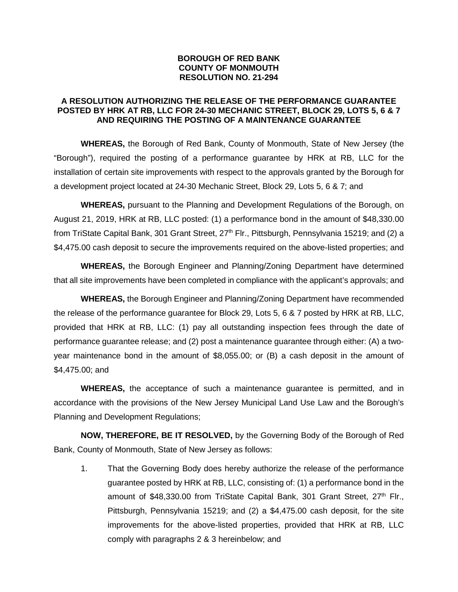## **BOROUGH OF RED BANK COUNTY OF MONMOUTH RESOLUTION NO. 21-294**

## **A RESOLUTION AUTHORIZING THE RELEASE OF THE PERFORMANCE GUARANTEE POSTED BY HRK AT RB, LLC FOR 24-30 MECHANIC STREET, BLOCK 29, LOTS 5, 6 & 7 AND REQUIRING THE POSTING OF A MAINTENANCE GUARANTEE**

**WHEREAS,** the Borough of Red Bank, County of Monmouth, State of New Jersey (the "Borough"), required the posting of a performance guarantee by HRK at RB, LLC for the installation of certain site improvements with respect to the approvals granted by the Borough for a development project located at 24-30 Mechanic Street, Block 29, Lots 5, 6 & 7; and

**WHEREAS,** pursuant to the Planning and Development Regulations of the Borough, on August 21, 2019, HRK at RB, LLC posted: (1) a performance bond in the amount of \$48,330.00 from TriState Capital Bank, 301 Grant Street, 27<sup>th</sup> Flr., Pittsburgh, Pennsylvania 15219; and (2) a \$4,475.00 cash deposit to secure the improvements required on the above-listed properties; and

**WHEREAS,** the Borough Engineer and Planning/Zoning Department have determined that all site improvements have been completed in compliance with the applicant's approvals; and

**WHEREAS,** the Borough Engineer and Planning/Zoning Department have recommended the release of the performance guarantee for Block 29, Lots 5, 6 & 7 posted by HRK at RB, LLC, provided that HRK at RB, LLC: (1) pay all outstanding inspection fees through the date of performance guarantee release; and (2) post a maintenance guarantee through either: (A) a twoyear maintenance bond in the amount of \$8,055.00; or (B) a cash deposit in the amount of \$4,475.00; and

**WHEREAS,** the acceptance of such a maintenance guarantee is permitted, and in accordance with the provisions of the New Jersey Municipal Land Use Law and the Borough's Planning and Development Regulations;

**NOW, THEREFORE, BE IT RESOLVED,** by the Governing Body of the Borough of Red Bank, County of Monmouth, State of New Jersey as follows:

1. That the Governing Body does hereby authorize the release of the performance guarantee posted by HRK at RB, LLC, consisting of: (1) a performance bond in the amount of \$48,330.00 from TriState Capital Bank, 301 Grant Street, 27<sup>th</sup> Flr., Pittsburgh, Pennsylvania 15219; and (2) a \$4,475.00 cash deposit, for the site improvements for the above-listed properties, provided that HRK at RB, LLC comply with paragraphs 2 & 3 hereinbelow; and